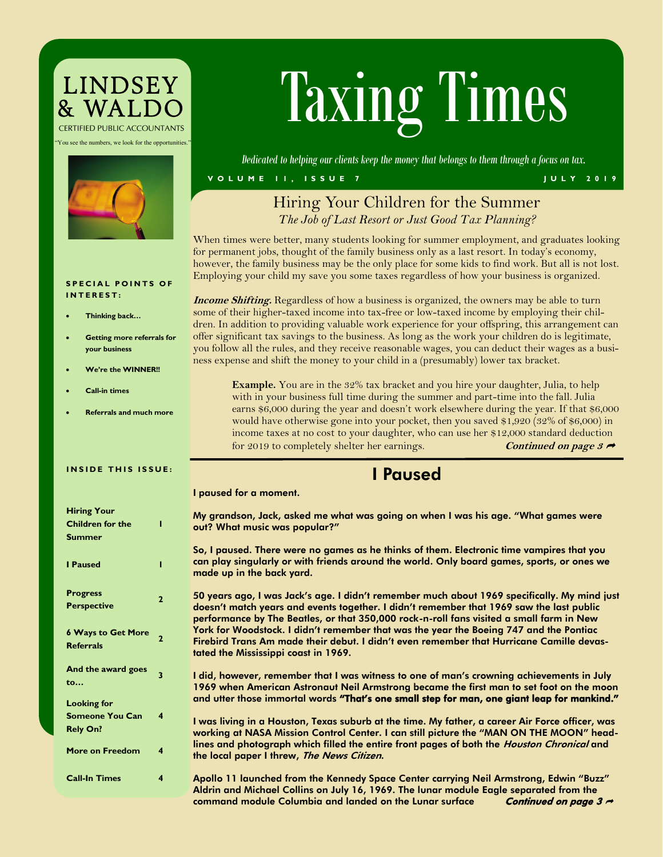# LINDSEY<br>& WALDC *CERTIFIED PUBLIC ACCOUNTANTS*

"You see the numbers, we look for the opportunities."



# Taxing Times

*Dedicated to helping our clients keep the money that belongs to them through a focus on tax.*

#### **V O L U M E 1 1 , I S S U E 7 J U L Y 2 0 1 9**

I paused for a moment.

## Hiring Your Children for the Summer *The Job of Last Resort or Just Good Tax Planning?*

When times were better, many students looking for summer employment, and graduates looking for permanent jobs, thought of the family business only as a last resort. In today's economy, however, the family business may be the only place for some kids to find work. But all is not lost. Employing your child my save you some taxes regardless of how your business is organized.

**Income Shifting.** Regardless of how a business is organized, the owners may be able to turn some of their higher-taxed income into tax-free or low-taxed income by employing their children. In addition to providing valuable work experience for your offspring, this arrangement can offer significant tax savings to the business. As long as the work your children do is legitimate, you follow all the rules, and they receive reasonable wages, you can deduct their wages as a business expense and shift the money to your child in a (presumably) lower tax bracket.

**Example.** You are in the 32% tax bracket and you hire your daughter, Julia, to help with in your business full time during the summer and part-time into the fall. Julia earns \$6,000 during the year and doesn't work elsewhere during the year. If that \$6,000 would have otherwise gone into your pocket, then you saved \$1,920 (32% of \$6,000) in income taxes at no cost to your daughter, who can use her \$12,000 standard deduction for 2019 to completely shelter her earnings. **Continued on page 3** 

# I Paused

#### **SPECIAL POINTS OF I N T E R E S T :**

- **Thinking back…**
- **Getting more referrals for your business**
- **We're the WINNER!!**
- **Call-in times**

**Hiring Your** 

• **Referrals and much more**

#### **INSIDE THIS ISSUE:**

| <b>Filtilig</b> Tour      |   |
|---------------------------|---|
| <b>Children for the</b>   |   |
| <b>Summer</b>             |   |
|                           |   |
| <b>I</b> Paused           |   |
|                           |   |
| <b>Progress</b>           |   |
| <b>Perspective</b>        | 2 |
|                           |   |
| <b>6 Ways to Get More</b> |   |
| <b>Referrals</b>          | 2 |
|                           |   |
| And the award goes        | 3 |
| to                        |   |
| <b>Looking for</b>        |   |
| <b>Someone You Can</b>    | 4 |
| <b>Rely On?</b>           |   |
|                           |   |
| <b>More on Freedom</b>    | 4 |
|                           |   |

#### My grandson, Jack, asked me what was going on when I was his age. "What games were out? What music was popular?"

So, I paused. There were no games as he thinks of them. Electronic time vampires that you can play singularly or with friends around the world. Only board games, sports, or ones we made up in the back yard.

50 years ago, I was Jack's age. I didn't remember much about 1969 specifically. My mind just doesn't match years and events together. I didn't remember that 1969 saw the last public performance by The Beatles, or that 350,000 rock-n-roll fans visited a small farm in New York for Woodstock. I didn't remember that was the year the Boeing 747 and the Pontiac Firebird Trans Am made their debut. I didn't even remember that Hurricane Camille devastated the Mississippi coast in 1969.

I did, however, remember that I was witness to one of man's crowning achievements in July 1969 when American Astronaut Neil Armstrong became the first man to set foot on the moon and utter those immortal words "That's one small step for man, one giant leap for mankind."

I was living in a Houston, Texas suburb at the time. My father, a career Air Force officer, was working at NASA Mission Control Center. I can still picture the "MAN ON THE MOON" headlines and photograph which filled the entire front pages of both the Houston Chronical and the local paper I threw, The News Citizen.

**Call-In Times 4** Apollo 11 launched from the Kennedy Space Center carrying Neil Armstrong, Edwin "Buzz" Aldrin and Michael Collins on July 16, 1969. The lunar module Eagle separated from the command module Columbia and landed on the Lunar surface Continued on page  $3 \rightarrow$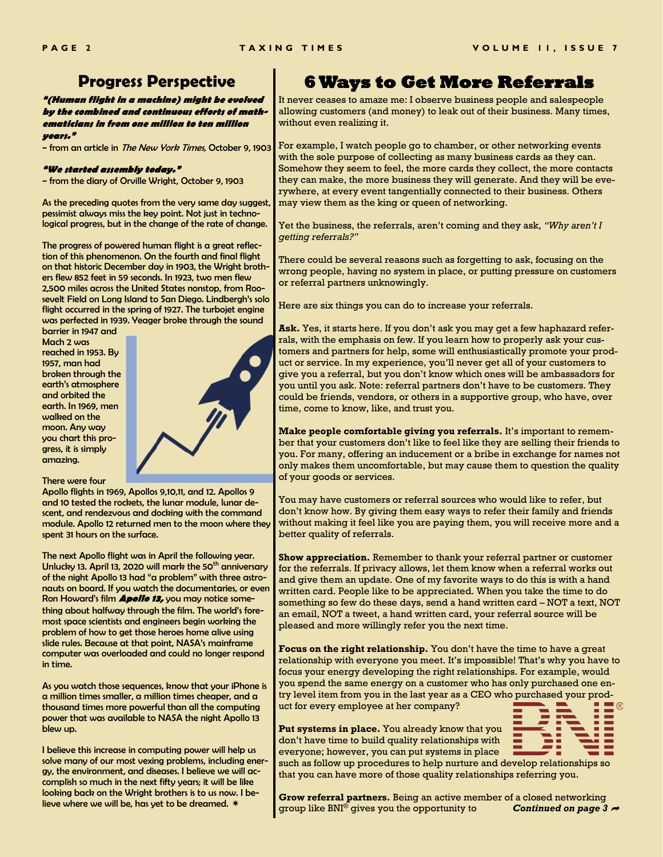## **Progress Perspective**

**"(Human flight in a machine) might be evolved by the combined and continuous efforts of mathematicians in from one million to ten million years."**

~ from an article in The New York Times, October 9, 1903

#### **"We started assembly today."**

~ from the diary of Orville Wright, October 9, 1903

As the preceding quotes from the very same day suggest, pessimist always miss the key point. Not just in technological progress, but in the change of the rate of change.

The progress of powered human flight is a great reflection of this phenomenon. On the fourth and final flight on that historic December day in 1903, the Wright brothers flew 852 feet in 59 seconds. In 1923, two men flew 2,500 miles across the United States nonstop, from Roosevelt Field on Long Island to San Diego. Lindbergh's solo flight occurred in the spring of 1927. The turbojet engine was perfected in 1939. Yeager broke through the sound

barrier in 1947 and Mach 2 was reached in 1953. By 1957, man had broken through the earth's atmosphere and orbited the earth. In 1969, men walked on the moon. Any way you chart this progress, it is simply amazing.



There were four

Apollo flights in 1969, Apollos 9,10,11, and 12. Apollos 9 and 10 tested the rockets, the lunar module, lunar descent, and rendezvous and docking with the command module. Apollo 12 returned men to the moon where they spent 31 hours on the surface.

The next Apollo flight was in April the following year. Unlucky 13. April 13, 2020 will mark the 50<sup>th</sup> anniversary of the night Apollo 13 had "a problem" with three astronauts on board. If you watch the documentaries, or even Ron Howard's film **Apollo 13,** you may notice something about halfway through the film. The world's foremost space scientists and engineers begin working the problem of how to get those heroes home alive using slide rules. Because at that point, NASA's mainframe computer was overloaded and could no longer respond in time.

As you watch those sequences, know that your iPhone is a million times smaller, a million times cheaper, and a thousand times more powerful than all the computing power that was available to NASA the night Apollo 13 blew up.

I believe this increase in computing power will help us solve many of our most vexing problems, including energy, the environment, and diseases. I believe we will accomplish so much in the next fifty years; it will be like looking back on the Wright brothers is to us now. I believe where we will be, has yet to be dreamed. \*

## **6 Ways to Get More Referrals**

It never ceases to amaze me: I observe business people and salespeople allowing customers (and money) to leak out of their business. Many times, without even realizing it.

For example, I watch people go to chamber, or other networking events with the sole purpose of collecting as many business cards as they can. Somehow they seem to feel, the more cards they collect, the more contacts they can make, the more business they will generate. And they will be everywhere, at every event tangentially connected to their business. Others may view them as the king or queen of networking.

Yet the business, the referrals, aren't coming and they ask, *"Why aren't I getting referrals?"*

There could be several reasons such as forgetting to ask, focusing on the wrong people, having no system in place, or putting pressure on customers or referral partners unknowingly.

Here are six things you can do to increase your referrals.

**Ask.** Yes, it starts here. If you don't ask you may get a few haphazard referrals, with the emphasis on few. If you learn how to properly ask your customers and partners for help, some will enthusiastically promote your product or service. In my experience, you'll never get all of your customers to give you a referral, but you don't know which ones will be ambassadors for you until you ask. Note: referral partners don't have to be customers. They could be friends, vendors, or others in a supportive group, who have, over time, come to know, like, and trust you.

**Make people comfortable giving you referrals.** It's important to remember that your customers don't like to feel like they are selling their friends to you. For many, offering an inducement or a bribe in exchange for names not only makes them uncomfortable, but may cause them to question the quality of your goods or services.

You may have customers or referral sources who would like to refer, but don't know how. By giving them easy ways to refer their family and friends without making it feel like you are paying them, you will receive more and a better quality of referrals.

**Show appreciation.** Remember to thank your referral partner or customer for the referrals. If privacy allows, let them know when a referral works out and give them an update. One of my favorite ways to do this is with a hand written card. People like to be appreciated. When you take the time to do something so few do these days, send a hand written card – NOT a text, NOT an email, NOT a tweet, a hand written card, your referral source will be pleased and more willingly refer you the next time.

**Focus on the right relationship.** You don't have the time to have a great relationship with everyone you meet. It's impossible! That's why you have to focus your energy developing the right relationships. For example, would you spend the same energy on a customer who has only purchased one entry level item from you in the last year as a CEO who purchased your product for every employee at her company?

**Put systems in place.** You already know that you don't have time to build quality relationships with everyone; however, you can put systems in place



such as follow up procedures to help nurture and develop relationships so that you can have more of those quality relationships referring you.

**Grow referral partners.** Being an active member of a closed networking group like BNI® gives you the opportunity to *Continued on page 3*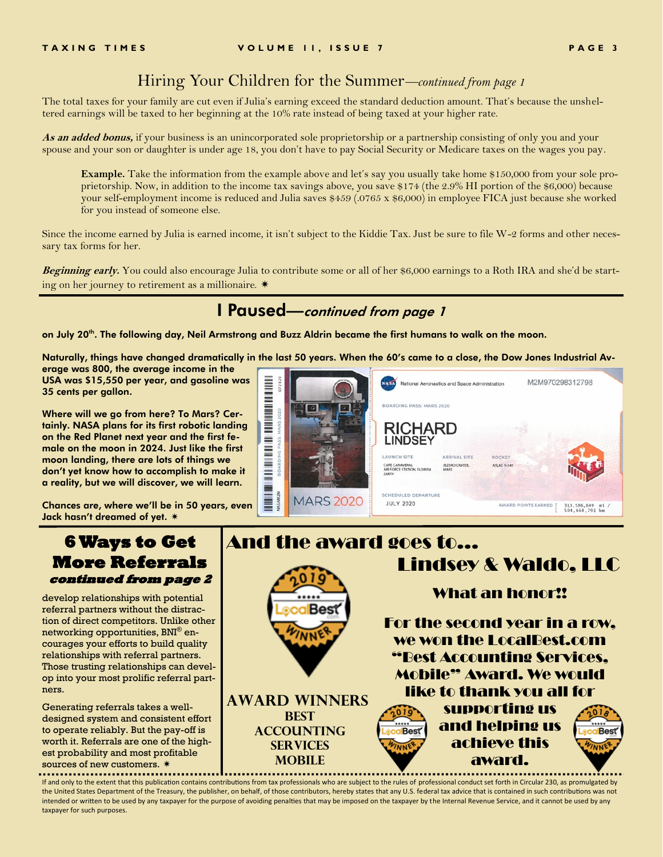## Hiring Your Children for the Summer*—continued from page 1*

The total taxes for your family are cut even if Julia's earning exceed the standard deduction amount. That's because the unsheltered earnings will be taxed to her beginning at the 10% rate instead of being taxed at your higher rate.

**As an added bonus,** if your business is an unincorporated sole proprietorship or a partnership consisting of only you and your spouse and your son or daughter is under age 18, you don't have to pay Social Security or Medicare taxes on the wages you pay.

**Example.** Take the information from the example above and let's say you usually take home \$150,000 from your sole proprietorship. Now, in addition to the income tax savings above, you save \$174 (the 2.9% HI portion of the \$6,000) because your self-employment income is reduced and Julia saves \$459 (.0765 x \$6,000) in employee FICA just because she worked for you instead of someone else.

Since the income earned by Julia is earned income, it isn't subject to the Kiddie Tax. Just be sure to file W-2 forms and other necessary tax forms for her.

**Beginning early.** You could also encourage Julia to contribute some or all of her \$6,000 earnings to a Roth IRA and she'd be starting on her journey to retirement as a millionaire.

# I Paused—continued from page 1

on July 20<sup>th</sup>. The following day, Neil Armstrong and Buzz Aldrin became the first humans to walk on the moon.

Naturally, things have changed dramatically in the last 50 years. When the 60's came to a close, the Dow Jones Industrial Average was 800, the average income in the

USA was \$15,550 per year, and gasoline was 35 cents per gallon.

Where will we go from here? To Mars? Certainly. NASA plans for its first robotic landing on the Red Planet next year and the first female on the moon in 2024. Just like the first moon landing, there are lots of things we don't yet know how to accomplish to make it a reality, but we will discover, we will learn.

Chances are, where we'll be in 50 years, even Jack hasn't dreamed of yet.



## **6 Ways to Get More Referrals continued from page 2**

develop relationships with potential referral partners without the distraction of direct competitors. Unlike other networking opportunities, BNI® encourages your efforts to build quality relationships with referral partners. Those trusting relationships can develop into your most prolific referral partners.

Generating referrals takes a welldesigned system and consistent effort to operate reliably. But the pay-off is worth it. Referrals are one of the highest probability and most profitable sources of new customers. \*



If and only to the extent that this publication contains contributions from tax professionals who are subject to the rules of professional conduct set forth in Circular 230, as promulgated by the United States Department of the Treasury, the publisher, on behalf, of those contributors, hereby states that any U.S. federal tax advice that is contained in such contributions was not intended or written to be used by any taxpayer for the purpose of avoiding penalties that may be imposed on the taxpayer by the Internal Revenue Service, and it cannot be used by any taxpayer for such purposes.